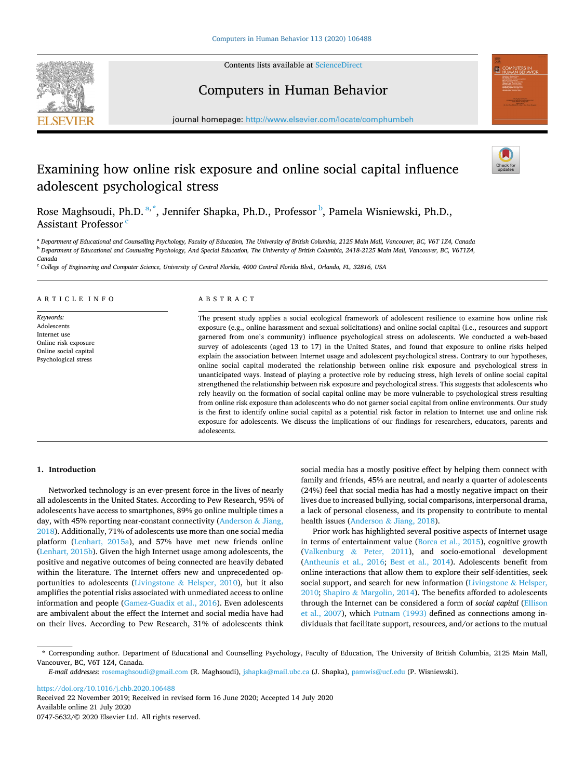

Contents lists available at [ScienceDirect](www.sciencedirect.com/science/journal/07475632)

# Computers in Human Behavior



journal homepage: [http://www.elsevier.com/locate/comphumbeh](https://http://www.elsevier.com/locate/comphumbeh) 

# Examining how online risk exposure and online social capital influence adolescent psychological stress

Rose Maghsoudi, Ph.D. <sup>a,\*</sup>, Jennifer Shapka, Ph.D., Professor <sup>b</sup>, Pamela Wisniewski, Ph.D., Assistant Professor<sup>c</sup>

<sup>a</sup> *Department of Educational and Counselling Psychology, Faculty of Education, The University of British Columbia, 2125 Main Mall, Vancouver, BC, V6T 1Z4, Canada* <sup>b</sup> *Department of Educational and Counseling Psychology, And Special Education, The University of British Columbia, 2418-2125 Main Mall, Vancouver, BC, V6T1Z4, Canada* 

<sup>c</sup> *College of Engineering and Computer Science, University of Central Florida, 4000 Central Florida Blvd., Orlando, FL, 32816, USA* 

# ARTICLE INFO

*Keywords:*  **Adolescents** Internet use Online risk exposure Online social capital Psychological stress

# ABSTRACT

The present study applies a social ecological framework of adolescent resilience to examine how online risk exposure (e.g., online harassment and sexual solicitations) and online social capital (i.e., resources and support garnered from one's community) influence psychological stress on adolescents. We conducted a web-based survey of adolescents (aged 13 to 17) in the United States, and found that exposure to online risks helped explain the association between Internet usage and adolescent psychological stress. Contrary to our hypotheses, online social capital moderated the relationship between online risk exposure and psychological stress in unanticipated ways. Instead of playing a protective role by reducing stress, high levels of online social capital strengthened the relationship between risk exposure and psychological stress. This suggests that adolescents who rely heavily on the formation of social capital online may be more vulnerable to psychological stress resulting from online risk exposure than adolescents who do not garner social capital from online environments. Our study is the first to identify online social capital as a potential risk factor in relation to Internet use and online risk exposure for adolescents. We discuss the implications of our findings for researchers, educators, parents and adolescents.

# **1. Introduction**

Networked technology is an ever-present force in the lives of nearly all adolescents in the United States. According to Pew Research, 95% of adolescents have access to smartphones, 89% go online multiple times a day, with 45% reporting near-constant connectivity ([Anderson](#page-7-0) & Jiang, [2018\)](#page-7-0). Additionally, 71% of adolescents use more than one social media platform ([Lenhart, 2015a](#page-8-0)), and 57% have met new friends online ([Lenhart, 2015b](#page-8-0)). Given the high Internet usage among adolescents, the positive and negative outcomes of being connected are heavily debated within the literature. The Internet offers new and unprecedented opportunities to adolescents (Livingstone  $\&$  [Helsper, 2010\)](#page-8-0), but it also amplifies the potential risks associated with unmediated access to online information and people [\(Gamez-Guadix et al., 2016\)](#page-7-0). Even adolescents are ambivalent about the effect the Internet and social media have had on their lives. According to Pew Research, 31% of adolescents think social media has a mostly positive effect by helping them connect with family and friends, 45% are neutral, and nearly a quarter of adolescents (24%) feel that social media has had a mostly negative impact on their lives due to increased bullying, social comparisons, interpersonal drama, a lack of personal closeness, and its propensity to contribute to mental health issues (Anderson & [Jiang, 2018\)](#page-7-0).

Prior work has highlighted several positive aspects of Internet usage in terms of entertainment value ([Borca et al., 2015](#page-7-0)), cognitive growth (Valkenburg & [Peter, 2011](#page-8-0)), and socio-emotional development ([Antheunis et al., 2016;](#page-7-0) [Best et al., 2014\)](#page-7-0). Adolescents benefit from online interactions that allow them to explore their self-identities, seek social support, and search for new information [\(Livingstone](#page-8-0) & Helsper, [2010;](#page-8-0) Shapiro & [Margolin, 2014](#page-8-0)). The benefits afforded to adolescents through the Internet can be considered a form of *social capital* ([Ellison](#page-7-0)  [et al., 2007\)](#page-7-0), which [Putnam \(1993\)](#page-8-0) defined as connections among individuals that facilitate support, resources, and/or actions to the mutual

<https://doi.org/10.1016/j.chb.2020.106488>

Available online 21 July 2020 0747-5632/© 2020 Elsevier Ltd. All rights reserved. Received 22 November 2019; Received in revised form 16 June 2020; Accepted 14 July 2020

<sup>\*</sup> Corresponding author. Department of Educational and Counselling Psychology, Faculty of Education, The University of British Columbia, 2125 Main Mall, Vancouver, BC, V6T 1Z4, Canada.

*E-mail addresses:* [rosemaghsoudi@gmail.com](mailto:rosemaghsoudi@gmail.com) (R. Maghsoudi), [jshapka@mail.ubc.ca](mailto:jshapka@mail.ubc.ca) (J. Shapka), [pamwis@ucf.edu](mailto:pamwis@ucf.edu) (P. Wisniewski).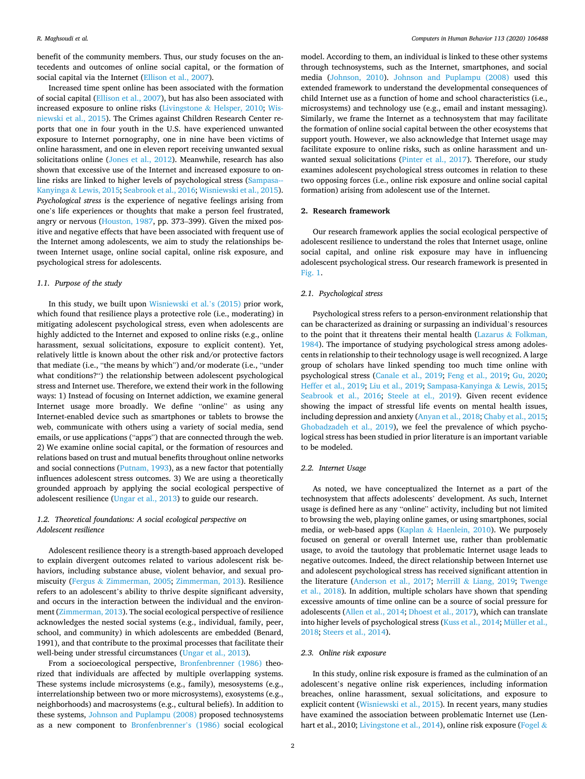benefit of the community members. Thus, our study focuses on the antecedents and outcomes of online social capital, or the formation of social capital via the Internet [\(Ellison et al., 2007\)](#page-7-0).

Increased time spent online has been associated with the formation of social capital [\(Ellison et al., 2007\)](#page-7-0), but has also been associated with increased exposure to online risks (Livingstone & [Helsper, 2010;](#page-8-0) [Wis](#page-8-0)[niewski et al., 2015\)](#page-8-0). The Crimes against Children Research Center reports that one in four youth in the U.S. have experienced unwanted exposure to Internet pornography, one in nine have been victims of online harassment, and one in eleven report receiving unwanted sexual solicitations online ([Jones et al., 2012](#page-8-0)). Meanwhile, research has also shown that excessive use of the Internet and increased exposure to online risks are linked to higher levels of psychological stress ([Sampasa--](#page-8-0)Kanyinga & [Lewis, 2015](#page-8-0); [Seabrook et al., 2016](#page-8-0); [Wisniewski et al., 2015](#page-8-0)). *Psychological stress* is the experience of negative feelings arising from one's life experiences or thoughts that make a person feel frustrated, angry or nervous ([Houston, 1987,](#page-7-0) pp. 373–399). Given the mixed positive and negative effects that have been associated with frequent use of the Internet among adolescents, we aim to study the relationships between Internet usage, online social capital, online risk exposure, and psychological stress for adolescents.

# *1.1. Purpose of the study*

In this study, we built upon [Wisniewski et al.](#page-8-0)'s (2015) prior work, which found that resilience plays a protective role (i.e., moderating) in mitigating adolescent psychological stress, even when adolescents are highly addicted to the Internet and exposed to online risks (e.g., online harassment, sexual solicitations, exposure to explicit content). Yet, relatively little is known about the other risk and/or protective factors that mediate (i.e., "the means by which") and/or moderate (i.e., "under what conditions?") the relationship between adolescent psychological stress and Internet use. Therefore, we extend their work in the following ways: 1) Instead of focusing on Internet addiction, we examine general Internet usage more broadly. We define "online" as using any Internet-enabled device such as smartphones or tablets to browse the web, communicate with others using a variety of social media, send emails, or use applications ("apps") that are connected through the web. 2) We examine online social capital, or the formation of resources and relations based on trust and mutual benefits throughout online networks and social connections [\(Putnam, 1993\)](#page-8-0), as a new factor that potentially influences adolescent stress outcomes. 3) We are using a theoretically grounded approach by applying the social ecological perspective of adolescent resilience ([Ungar et al., 2013](#page-8-0)) to guide our research.

# *1.2. Theoretical foundations: A social ecological perspective on Adolescent resilience*

Adolescent resilience theory is a strength-based approach developed to explain divergent outcomes related to various adolescent risk behaviors, including substance abuse, violent behavior, and sexual promiscuity (Fergus & [Zimmerman, 2005](#page-7-0); [Zimmerman, 2013](#page-8-0)). Resilience refers to an adolescent's ability to thrive despite significant adversity, and occurs in the interaction between the individual and the environment [\(Zimmerman, 2013\)](#page-8-0). The social ecological perspective of resilience acknowledges the nested social systems (e.g., individual, family, peer, school, and community) in which adolescents are embedded (Benard, 1991), and that contribute to the proximal processes that facilitate their well-being under stressful circumstances ([Ungar et al., 2013](#page-8-0)).

From a socioecological perspective, [Bronfenbrenner \(1986\)](#page-7-0) theorized that individuals are affected by multiple overlapping systems. These systems include microsystems (e.g., family), mesosystems (e.g., interrelationship between two or more microsystems), exosystems (e.g., neighborhoods) and macrosystems (e.g., cultural beliefs). In addition to these systems, [Johnson and Puplampu \(2008\)](#page-8-0) proposed technosystems as a new component to [Bronfenbrenner](#page-7-0)'s (1986) social ecological

model. According to them, an individual is linked to these other systems through technosystems, such as the Internet, smartphones, and social media [\(Johnson, 2010\)](#page-8-0). [Johnson and Puplampu \(2008\)](#page-8-0) used this extended framework to understand the developmental consequences of child Internet use as a function of home and school characteristics (i.e., microsystems) and technology use (e.g., email and instant messaging). Similarly, we frame the Internet as a technosystem that may facilitate the formation of online social capital between the other ecosystems that support youth. However, we also acknowledge that Internet usage may facilitate exposure to online risks, such as online harassment and unwanted sexual solicitations [\(Pinter et al., 2017](#page-8-0)). Therefore, our study examines adolescent psychological stress outcomes in relation to these two opposing forces (i.e., online risk exposure and online social capital formation) arising from adolescent use of the Internet.

# **2. Research framework**

Our research framework applies the social ecological perspective of adolescent resilience to understand the roles that Internet usage, online social capital, and online risk exposure may have in influencing adolescent psychological stress. Our research framework is presented in [Fig. 1.](#page-2-0)

# *2.1. Psychological stress*

Psychological stress refers to a person-environment relationship that can be characterized as draining or surpassing an individual's resources to the point that it threatens their mental health (Lazarus  $\&$  Folkman, [1984\)](#page-8-0). The importance of studying psychological stress among adolescents in relationship to their technology usage is well recognized. A large group of scholars have linked spending too much time online with psychological stress ([Canale et al., 2019;](#page-7-0) [Feng et al., 2019](#page-7-0); [Gu, 2020](#page-7-0); [Heffer et al., 2019;](#page-7-0) [Liu et al., 2019; Sampasa-Kanyinga](#page-8-0) & Lewis, 2015; [Seabrook et al., 2016](#page-8-0); [Steele at el., 2019](#page-8-0)). Given recent evidence showing the impact of stressful life events on mental health issues, including depression and anxiety ([Anyan et al., 2018; Chaby et al., 2015](#page-7-0); [Ghobadzadeh et al., 2019\)](#page-7-0), we feel the prevalence of which psychological stress has been studied in prior literature is an important variable to be modeled.

# *2.2. Internet Usage*

As noted, we have conceptualized the Internet as a part of the technosystem that affects adolescents' development. As such, Internet usage is defined here as any "online" activity, including but not limited to browsing the web, playing online games, or using smartphones, social media, or web-based apps (Kaplan & [Haenlein, 2010\)](#page-8-0). We purposely focused on general or overall Internet use, rather than problematic usage, to avoid the tautology that problematic Internet usage leads to negative outcomes. Indeed, the direct relationship between Internet use and adolescent psychological stress has received significant attention in the literature [\(Anderson et al., 2017](#page-7-0); Merrill & [Liang, 2019;](#page-8-0) [Twenge](#page-8-0)  [et al., 2018\)](#page-8-0). In addition, multiple scholars have shown that spending excessive amounts of time online can be a source of social pressure for adolescents ([Allen et al., 2014; Dhoest et al., 2017\)](#page-7-0), which can translate into higher levels of psychological stress ([Kuss et al., 2014; Müller et al.,](#page-8-0)  [2018; Steers et al., 2014\)](#page-8-0).

#### *2.3. Online risk exposure*

In this study, online risk exposure is framed as the culmination of an adolescent's negative online risk experiences, including information breaches, online harassment, sexual solicitations, and exposure to explicit content [\(Wisniewski et al., 2015](#page-8-0)). In recent years, many studies have examined the association between problematic Internet use (Len-hart et al., 2010; [Livingstone et al., 2014](#page-8-0)), online risk exposure [\(Fogel](#page-7-0) &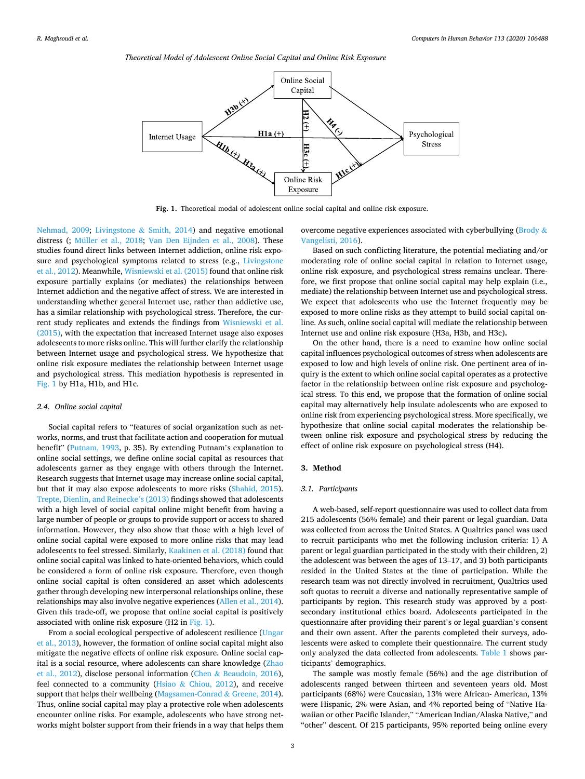<span id="page-2-0"></span>



**Fig. 1.** Theoretical modal of adolescent online social capital and online risk exposure.

[Nehmad, 2009](#page-7-0); Livingstone & [Smith, 2014](#page-8-0)) and negative emotional distress (; [Müller et al., 2018;](#page-8-0) [Van Den Eijnden et al., 2008\)](#page-8-0). These studies found direct links between Internet addiction, online risk exposure and psychological symptoms related to stress (e.g., [Livingstone](#page-8-0)  [et al., 2012\)](#page-8-0). Meanwhile, [Wisniewski et al. \(2015\)](#page-8-0) found that online risk exposure partially explains (or mediates) the relationships between Internet addiction and the negative affect of stress. We are interested in understanding whether general Internet use, rather than addictive use, has a similar relationship with psychological stress. Therefore, the current study replicates and extends the findings from [Wisniewski et al.](#page-8-0)  [\(2015\),](#page-8-0) with the expectation that increased Internet usage also exposes adolescents to more risks online. This will further clarify the relationship between Internet usage and psychological stress. We hypothesize that online risk exposure mediates the relationship between Internet usage and psychological stress. This mediation hypothesis is represented in Fig. 1 by H1a, H1b, and H1c.

## *2.4. Online social capital*

Social capital refers to "features of social organization such as networks, norms, and trust that facilitate action and cooperation for mutual benefit" [\(Putnam, 1993](#page-8-0), p. 35). By extending Putnam's explanation to online social settings, we define online social capital as resources that adolescents garner as they engage with others through the Internet. Research suggests that Internet usage may increase online social capital, but that it may also expose adolescents to more risks [\(Shahid, 2015](#page-8-0)). [Trepte, Dienlin, and Reinecke](#page-8-0)'s (2013) findings showed that adolescents with a high level of social capital online might benefit from having a large number of people or groups to provide support or access to shared information. However, they also show that those with a high level of online social capital were exposed to more online risks that may lead adolescents to feel stressed. Similarly, [Kaakinen et al. \(2018\)](#page-8-0) found that online social capital was linked to hate-oriented behaviors, which could be considered a form of online risk exposure. Therefore, even though online social capital is often considered an asset which adolescents gather through developing new interpersonal relationships online, these relationships may also involve negative experiences ([Allen et al., 2014](#page-7-0)). Given this trade-off, we propose that online social capital is positively associated with online risk exposure (H2 in Fig. 1).

From a social ecological perspective of adolescent resilience [\(Ungar](#page-8-0)  [et al., 2013](#page-8-0)), however, the formation of online social capital might also mitigate the negative effects of online risk exposure. Online social capital is a social resource, where adolescents can share knowledge [\(Zhao](#page-8-0)  [et al., 2012\)](#page-8-0), disclose personal information (Chen & [Beaudoin, 2016](#page-7-0)), feel connected to a community (Hsiao & [Chiou, 2012\)](#page-8-0), and receive support that helps their wellbeing ([Magsamen-Conrad](#page-8-0) & Greene, 2014). Thus, online social capital may play a protective role when adolescents encounter online risks. For example, adolescents who have strong networks might bolster support from their friends in a way that helps them overcome negative experiences associated with cyberbullying [\(Brody](#page-7-0) & [Vangelisti, 2016](#page-7-0)).

Based on such conflicting literature, the potential mediating and/or moderating role of online social capital in relation to Internet usage, online risk exposure, and psychological stress remains unclear. Therefore, we first propose that online social capital may help explain (i.e., mediate) the relationship between Internet use and psychological stress. We expect that adolescents who use the Internet frequently may be exposed to more online risks as they attempt to build social capital online. As such, online social capital will mediate the relationship between Internet use and online risk exposure (H3a, H3b, and H3c)**.** 

On the other hand, there is a need to examine how online social capital influences psychological outcomes of stress when adolescents are exposed to low and high levels of online risk. One pertinent area of inquiry is the extent to which online social capital operates as a protective factor in the relationship between online risk exposure and psychological stress. To this end, we propose that the formation of online social capital may alternatively help insulate adolescents who are exposed to online risk from experiencing psychological stress. More specifically, we hypothesize that online social capital moderates the relationship between online risk exposure and psychological stress by reducing the effect of online risk exposure on psychological stress (H4).

# **3. Method**

# *3.1. Participants*

A web-based, self-report questionnaire was used to collect data from 215 adolescents (56% female) and their parent or legal guardian. Data was collected from across the United States. A Qualtrics panel was used to recruit participants who met the following inclusion criteria: 1) A parent or legal guardian participated in the study with their children, 2) the adolescent was between the ages of 13–17, and 3) both participants resided in the United States at the time of participation. While the research team was not directly involved in recruitment, Qualtrics used soft quotas to recruit a diverse and nationally representative sample of participants by region. This research study was approved by a postsecondary institutional ethics board. Adolescents participated in the questionnaire after providing their parent's or legal guardian's consent and their own assent. After the parents completed their surveys, adolescents were asked to complete their questionnaire. The current study only analyzed the data collected from adolescents. [Table 1](#page-3-0) shows participants' demographics.

The sample was mostly female (56%) and the age distribution of adolescents ranged between thirteen and seventeen years old. Most participants (68%) were Caucasian, 13% were African- American, 13% were Hispanic, 2% were Asian, and 4% reported being of "Native Hawaiian or other Pacific Islander," "American Indian/Alaska Native," and "other" descent. Of 215 participants, 95% reported being online every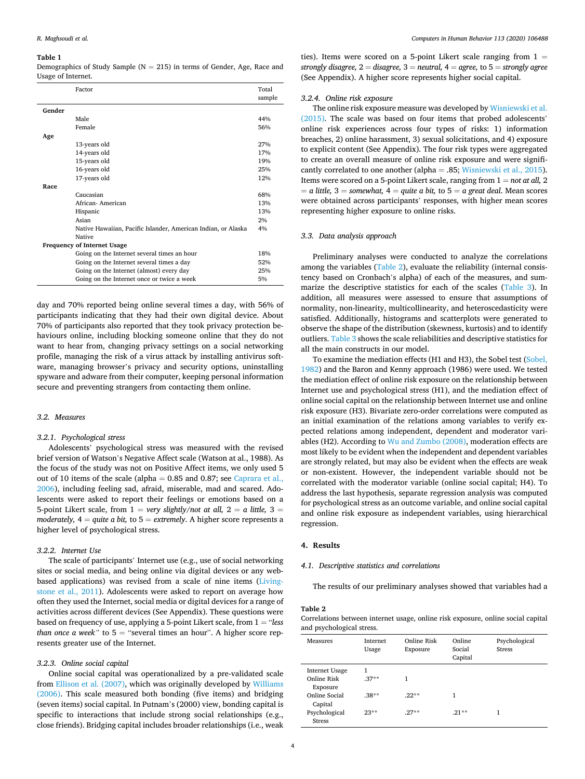#### <span id="page-3-0"></span>**Table 1**

Demographics of Study Sample ( $N = 215$ ) in terms of Gender, Age, Race and Usage of Internet.

|        | Factor                                                        | Total<br>sample |
|--------|---------------------------------------------------------------|-----------------|
| Gender |                                                               |                 |
|        | Male                                                          | 44%             |
|        | Female                                                        | 56%             |
| Age    |                                                               |                 |
|        | 13-years old                                                  | 27%             |
|        | 14-years old                                                  | 17%             |
|        | 15-years old                                                  | 19%             |
|        | 16-years old                                                  | 25%             |
|        | 17-years old                                                  | 12%             |
| Race   |                                                               |                 |
|        | Caucasian                                                     | 68%             |
|        | African-American                                              | 13%             |
|        | Hispanic                                                      | 13%             |
|        | Asian                                                         | 2%              |
|        | Native Hawaiian, Pacific Islander, American Indian, or Alaska | 4%              |
|        | <b>Native</b>                                                 |                 |
|        | <b>Frequency of Internet Usage</b>                            |                 |
|        | Going on the Internet several times an hour                   | 18%             |
|        | Going on the Internet several times a day                     | 52%             |
|        | Going on the Internet (almost) every day                      | 25%             |
|        | Going on the Internet once or twice a week                    | 5%              |

day and 70% reported being online several times a day, with 56% of participants indicating that they had their own digital device. About 70% of participants also reported that they took privacy protection behaviours online, including blocking someone online that they do not want to hear from, changing privacy settings on a social networking profile, managing the risk of a virus attack by installing antivirus software, managing browser's privacy and security options, uninstalling spyware and adware from their computer, keeping personal information secure and preventing strangers from contacting them online.

#### *3.2. Measures*

#### *3.2.1. Psychological stress*

Adolescents' psychological stress was measured with the revised brief version of Watson's Negative Affect scale (Watson at al., 1988). As the focus of the study was not on Positive Affect items, we only used 5 out of 10 items of the scale (alpha =  $0.85$  and  $0.87$ ; see Caprara et al., [2006\)](#page-7-0), including feeling sad, afraid, miserable, mad and scared. Adolescents were asked to report their feelings or emotions based on a 5-point Likert scale, from  $1 = \text{very slightly/not at all, } 2 = a$  little,  $3 =$ *moderately,*  $4 =$  *quite a bit, to*  $5 =$  *extremely.* A higher score represents a higher level of psychological stress.

# *3.2.2. Internet Use*

The scale of participants' Internet use (e.g., use of social networking sites or social media, and being online via digital devices or any webbased applications) was revised from a scale of nine items [\(Living](#page-8-0)[stone et al., 2011\)](#page-8-0). Adolescents were asked to report on average how often they used the Internet, social media or digital devices for a range of activities across different devices (See Appendix). These questions were based on frequency of use, applying a 5-point Likert scale, from 1 = "*less than once a week"* to 5 = "several times an hour". A higher score represents greater use of the Internet.

#### *3.2.3. Online social capital*

Online social capital was operationalized by a pre-validated scale from [Ellison et al. \(2007\)](#page-7-0), which was originally developed by [Williams](#page-8-0)  [\(2006\).](#page-8-0) This scale measured both bonding (five items) and bridging (seven items) social capital. In Putnam's (2000) view, bonding capital is specific to interactions that include strong social relationships (e.g., close friends). Bridging capital includes broader relationships (i.e., weak ties). Items were scored on a 5-point Likert scale ranging from  $1 =$ *strongly disagree,* 2 = *disagree,* 3 = *neutral,* 4 = *agree,* to 5 = *strongly agree*  (See Appendix). A higher score represents higher social capital.

## *3.2.4. Online risk exposure*

The online risk exposure measure was developed by [Wisniewski et al.](#page-8-0)  [\(2015\).](#page-8-0) The scale was based on four items that probed adolescents' online risk experiences across four types of risks: 1) information breaches, 2) online harassment, 3) sexual solicitations, and 4) exposure to explicit content (See Appendix). The four risk types were aggregated to create an overall measure of online risk exposure and were significantly correlated to one another (alpha = .85; [Wisniewski et al., 2015](#page-8-0)). Items were scored on a 5-point Likert scale, ranging from 1 = *not at all,* 2  $= a$  *little,*  $3 =$  *somewhat,*  $4 =$  *quite a bit,* to  $5 = a$  *great deal.* Mean scores were obtained across participants' responses, with higher mean scores representing higher exposure to online risks.

# *3.3. Data analysis approach*

Preliminary analyses were conducted to analyze the correlations among the variables (Table 2), evaluate the reliability (internal consistency based on Cronbach's alpha) of each of the measures, and summarize the descriptive statistics for each of the scales [\(Table 3](#page-4-0)). In addition, all measures were assessed to ensure that assumptions of normality, non-linearity, multicollinearity, and heteroscedasticity were satisfied. Additionally, histograms and scatterplots were generated to observe the shape of the distribution (skewness, kurtosis) and to identify outliers. [Table 3](#page-4-0) shows the scale reliabilities and descriptive statistics for all the main constructs in our model.

To examine the mediation effects (H1 and H3), the Sobel test [\(Sobel,](#page-8-0)  [1982\)](#page-8-0) and the Baron and Kenny approach (1986) were used. We tested the mediation effect of online risk exposure on the relationship between Internet use and psychological stress (H1), and the mediation effect of online social capital on the relationship between Internet use and online risk exposure (H3). Bivariate zero-order correlations were computed as an initial examination of the relations among variables to verify expected relations among independent, dependent and moderator variables (H2). According to [Wu and Zumbo \(2008\),](#page-8-0) moderation effects are most likely to be evident when the independent and dependent variables are strongly related, but may also be evident when the effects are weak or non-existent. However, the independent variable should not be correlated with the moderator variable (online social capital; H4). To address the last hypothesis, separate regression analysis was computed for psychological stress as an outcome variable, and online social capital and online risk exposure as independent variables, using hierarchical regression.

# **4. Results**

# *4.1. Descriptive statistics and correlations*

The results of our preliminary analyses showed that variables had a

# **Table 2**

Correlations between internet usage, online risk exposure, online social capital and psychological stress.

| Measures                                  | <b>Internet</b><br>Usage | Online Risk<br>Exposure | Online<br>Social<br>Capital | Psychological<br><b>Stress</b> |
|-------------------------------------------|--------------------------|-------------------------|-----------------------------|--------------------------------|
| Internet Usage<br>Online Risk<br>Exposure | 1<br>$.37**$             |                         |                             |                                |
| Online Social<br>Capital                  | $.38***$                 | $.22**$                 | 1                           |                                |
| Psychological<br><b>Stress</b>            | $23**$                   | $27**$                  | $21**$                      | 1                              |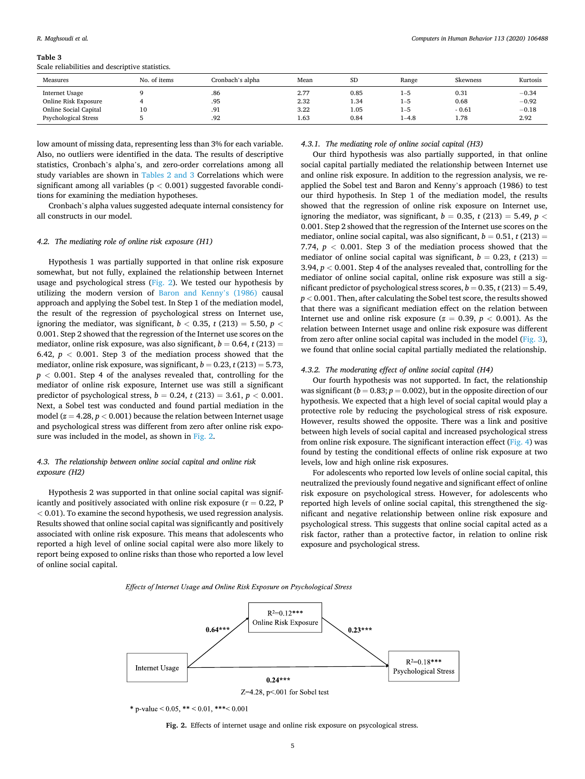#### <span id="page-4-0"></span>**Table 3**

Scale reliabilities and descriptive statistics.

| Measures                    | No. of items | Cronbach's alpha | Mean | <b>SD</b> | Range     | Skewness | Kurtosis |
|-----------------------------|--------------|------------------|------|-----------|-----------|----------|----------|
| Internet Usage              |              | .86              | 2.77 | 0.85      | 1-5       | 0.31     | $-0.34$  |
| Online Risk Exposure        |              | .95              | 2.32 | 1.34      | $1 - 5$   | 0.68     | $-0.92$  |
| Online Social Capital       | 10           | .91              | 3.22 | 1.05      | $1 - 5$   | $-0.61$  | $-0.18$  |
| <b>Psychological Stress</b> |              | .92              | 1.63 | 0.84      | $1 - 4.8$ | 1.78     | 2.92     |

low amount of missing data, representing less than 3% for each variable. Also, no outliers were identified in the data. The results of descriptive statistics, Cronbach's alpha's, and zero-order correlations among all study variables are shown in [Tables 2 and 3](#page-3-0) Correlations which were significant among all variables (p *<* 0.001) suggested favorable conditions for examining the mediation hypotheses.

Cronbach's alpha values suggested adequate internal consistency for all constructs in our model.

# *4.2. The mediating role of online risk exposure (H1)*

Hypothesis 1 was partially supported in that online risk exposure somewhat, but not fully, explained the relationship between Internet usage and psychological stress (Fig. 2). We tested our hypothesis by utilizing the modern version of [Baron and Kenny](#page-7-0)'s (1986) causal approach and applying the Sobel test. In Step 1 of the mediation model, the result of the regression of psychological stress on Internet use, ignoring the mediator, was significant,  $b < 0.35$ ,  $t (213) = 5.50$ ,  $p <$ 0.001. Step 2 showed that the regression of the Internet use scores on the mediator, online risk exposure, was also significant,  $b = 0.64$ ,  $t(213) =$ 6.42,  $p < 0.001$ . Step 3 of the mediation process showed that the mediator, online risk exposure, was significant,  $b = 0.23$ ,  $t(213) = 5.73$ ,  $p < 0.001$ . Step 4 of the analyses revealed that, controlling for the mediator of online risk exposure, Internet use was still a significant predictor of psychological stress,  $b = 0.24$ ,  $t(213) = 3.61$ ,  $p < 0.001$ . Next, a Sobel test was conducted and found partial mediation in the model ( $z = 4.28$ ,  $p < 0.001$ ) because the relation between Internet usage and psychological stress was different from zero after online risk exposure was included in the model, as shown in Fig. 2.

# *4.3. The relationship between online social capital and online risk exposure (H2)*

Hypothesis 2 was supported in that online social capital was significantly and positively associated with online risk exposure ( $r = 0.22$ , P *<* 0.01). To examine the second hypothesis, we used regression analysis. Results showed that online social capital was significantly and positively associated with online risk exposure. This means that adolescents who reported a high level of online social capital were also more likely to report being exposed to online risks than those who reported a low level of online social capital.

#### *4.3.1. The mediating role of online social capital (H3)*

Our third hypothesis was also partially supported, in that online social capital partially mediated the relationship between Internet use and online risk exposure. In addition to the regression analysis, we reapplied the Sobel test and Baron and Kenny's approach (1986) to test our third hypothesis. In Step 1 of the mediation model, the results showed that the regression of online risk exposure on Internet use, ignoring the mediator, was significant,  $b = 0.35$ ,  $t(213) = 5.49$ ,  $p <$ 0.001. Step 2 showed that the regression of the Internet use scores on the mediator, online social capital, was also significant,  $b = 0.51$ ,  $t(213) =$ 7.74,  $p < 0.001$ . Step 3 of the mediation process showed that the mediator of online social capital was significant,  $b = 0.23$ ,  $t(213) =$ 3.94,  $p < 0.001$ . Step 4 of the analyses revealed that, controlling for the mediator of online social capital, online risk exposure was still a significant predictor of psychological stress scores,  $b = 0.35$ ,  $t(213) = 5.49$ , *p <* 0.001. Then, after calculating the Sobel test score, the results showed that there was a significant mediation effect on the relation between Internet use and online risk exposure  $(z = 0.39, p < 0.001)$ . As the relation between Internet usage and online risk exposure was different from zero after online social capital was included in the model ([Fig. 3](#page-5-0)), we found that online social capital partially mediated the relationship.

## *4.3.2. The moderating effect of online social capital (H4)*

Our fourth hypothesis was not supported. In fact, the relationship was significant ( $b = 0.83$ ;  $p = 0.002$ ), but in the opposite direction of our hypothesis. We expected that a high level of social capital would play a protective role by reducing the psychological stress of risk exposure. However, results showed the opposite. There was a link and positive between high levels of social capital and increased psychological stress from online risk exposure. The significant interaction effect [\(Fig. 4](#page-5-0)) was found by testing the conditional effects of online risk exposure at two levels, low and high online risk exposures.

For adolescents who reported low levels of online social capital, this neutralized the previously found negative and significant effect of online risk exposure on psychological stress. However, for adolescents who reported high levels of online social capital, this strengthened the significant and negative relationship between online risk exposure and psychological stress. This suggests that online social capital acted as a risk factor, rather than a protective factor, in relation to online risk exposure and psychological stress.

Effects of Internet Usage and Online Risk Exposure on Psychological Stress



\* p-value < 0.05, \*\* < 0.01, \*\*\*< 0.001

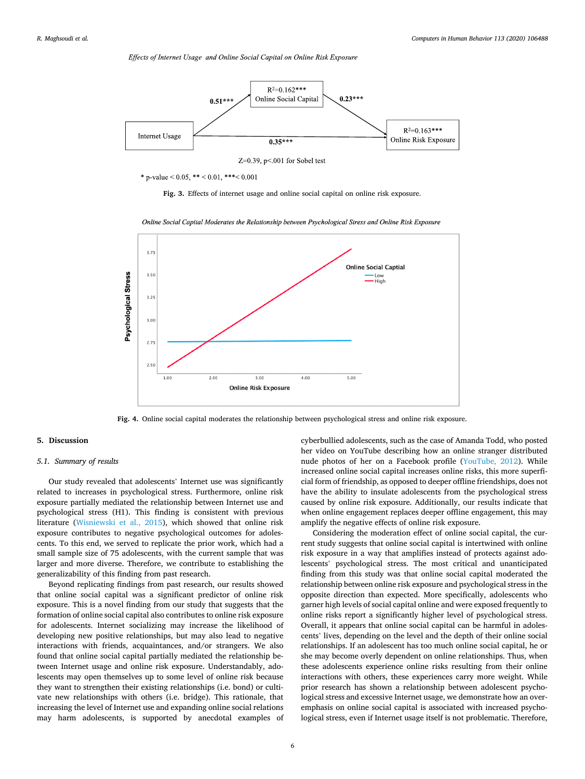Effects of Internet Usage and Online Social Capital on Online Risk Exposure

<span id="page-5-0"></span>

\* p-value  $\leq 0.05$ , \*\*  $\leq 0.01$ , \*\*\*  $\leq 0.001$ 





Online Social Capital Moderates the Relationship between Psychological Stress and Online Risk Exposure

**Fig. 4.** Online social capital moderates the relationship between psychological stress and online risk exposure.

# **5. Discussion**

#### *5.1. Summary of results*

Our study revealed that adolescents' Internet use was significantly related to increases in psychological stress. Furthermore, online risk exposure partially mediated the relationship between Internet use and psychological stress (H1). This finding is consistent with previous literature ([Wisniewski et al., 2015](#page-8-0)), which showed that online risk exposure contributes to negative psychological outcomes for adolescents. To this end, we served to replicate the prior work, which had a small sample size of 75 adolescents, with the current sample that was larger and more diverse. Therefore, we contribute to establishing the generalizability of this finding from past research.

Beyond replicating findings from past research, our results showed that online social capital was a significant predictor of online risk exposure. This is a novel finding from our study that suggests that the formation of online social capital also contributes to online risk exposure for adolescents. Internet socializing may increase the likelihood of developing new positive relationships, but may also lead to negative interactions with friends, acquaintances, and/or strangers. We also found that online social capital partially mediated the relationship between Internet usage and online risk exposure. Understandably, adolescents may open themselves up to some level of online risk because they want to strengthen their existing relationships (i.e. bond) or cultivate new relationships with others (i.e. bridge). This rationale, that increasing the level of Internet use and expanding online social relations may harm adolescents, is supported by anecdotal examples of cyberbullied adolescents, such as the case of Amanda Todd, who posted her video on YouTube describing how an online stranger distributed nude photos of her on a Facebook profile ([YouTube, 2012\)](#page-8-0). While increased online social capital increases online risks, this more superficial form of friendship, as opposed to deeper offline friendships, does not have the ability to insulate adolescents from the psychological stress caused by online risk exposure. Additionally, our results indicate that when online engagement replaces deeper offline engagement, this may amplify the negative effects of online risk exposure.

Considering the moderation effect of online social capital, the current study suggests that online social capital is intertwined with online risk exposure in a way that amplifies instead of protects against adolescents' psychological stress. The most critical and unanticipated finding from this study was that online social capital moderated the relationship between online risk exposure and psychological stress in the opposite direction than expected. More specifically, adolescents who garner high levels of social capital online and were exposed frequently to online risks report a significantly higher level of psychological stress. Overall, it appears that online social capital can be harmful in adolescents' lives, depending on the level and the depth of their online social relationships. If an adolescent has too much online social capital, he or she may become overly dependent on online relationships. Thus, when these adolescents experience online risks resulting from their online interactions with others, these experiences carry more weight. While prior research has shown a relationship between adolescent psychological stress and excessive Internet usage, we demonstrate how an overemphasis on online social capital is associated with increased psychological stress, even if Internet usage itself is not problematic. Therefore,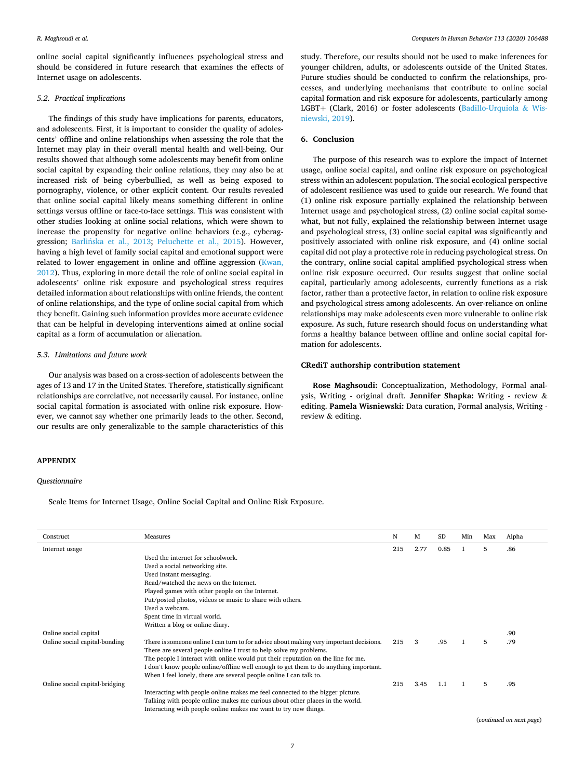online social capital significantly influences psychological stress and should be considered in future research that examines the effects of Internet usage on adolescents.

# *5.2. Practical implications*

The findings of this study have implications for parents, educators, and adolescents. First, it is important to consider the quality of adolescents' offline and online relationships when assessing the role that the Internet may play in their overall mental health and well-being. Our results showed that although some adolescents may benefit from online social capital by expanding their online relations, they may also be at increased risk of being cyberbullied, as well as being exposed to pornography, violence, or other explicit content. Our results revealed that online social capital likely means something different in online settings versus offline or face-to-face settings. This was consistent with other studies looking at online social relations, which were shown to increase the propensity for negative online behaviors (e.g., cyberaggression; Barlińska [et al., 2013;](#page-7-0) [Peluchette et al., 2015](#page-8-0)). However, having a high level of family social capital and emotional support were related to lower engagement in online and offline aggression ([Kwan,](#page-8-0)  [2012\)](#page-8-0). Thus, exploring in more detail the role of online social capital in adolescents' online risk exposure and psychological stress requires detailed information about relationships with online friends, the content of online relationships, and the type of online social capital from which they benefit. Gaining such information provides more accurate evidence that can be helpful in developing interventions aimed at online social capital as a form of accumulation or alienation.

# *5.3. Limitations and future work*

Our analysis was based on a cross-section of adolescents between the ages of 13 and 17 in the United States. Therefore, statistically significant relationships are correlative, not necessarily causal. For instance, online social capital formation is associated with online risk exposure. However, we cannot say whether one primarily leads to the other. Second, our results are only generalizable to the sample characteristics of this

# **APPENDIX**

#### *Questionnaire*

Scale Items for Internet Usage, Online Social Capital and Online Risk Exposure.

study. Therefore, our results should not be used to make inferences for younger children, adults, or adolescents outside of the United States. Future studies should be conducted to confirm the relationships, processes, and underlying mechanisms that contribute to online social capital formation and risk exposure for adolescents, particularly among LGBT+ (Clark, 2016) or foster adolescents [\(Badillo-Urquiola](#page-7-0) & Wis[niewski, 2019](#page-7-0)).

#### **6. Conclusion**

The purpose of this research was to explore the impact of Internet usage, online social capital, and online risk exposure on psychological stress within an adolescent population. The social ecological perspective of adolescent resilience was used to guide our research. We found that (1) online risk exposure partially explained the relationship between Internet usage and psychological stress, (2) online social capital somewhat, but not fully, explained the relationship between Internet usage and psychological stress, (3) online social capital was significantly and positively associated with online risk exposure, and (4) online social capital did not play a protective role in reducing psychological stress. On the contrary, online social capital amplified psychological stress when online risk exposure occurred. Our results suggest that online social capital, particularly among adolescents, currently functions as a risk factor, rather than a protective factor, in relation to online risk exposure and psychological stress among adolescents. An over-reliance on online relationships may make adolescents even more vulnerable to online risk exposure. As such, future research should focus on understanding what forms a healthy balance between offline and online social capital formation for adolescents.

## **CRediT authorship contribution statement**

**Rose Maghsoudi:** Conceptualization, Methodology, Formal analysis, Writing - original draft. **Jennifer Shapka:** Writing - review & editing. **Pamela Wisniewski:** Data curation, Formal analysis, Writing review & editing.

| Construct                      | Measures                                                                                | N   | М    | <b>SD</b> | Min | Max | Alpha |
|--------------------------------|-----------------------------------------------------------------------------------------|-----|------|-----------|-----|-----|-------|
| Internet usage                 |                                                                                         | 215 | 2.77 | 0.85      |     | 5   | .86   |
|                                | Used the internet for schoolwork.                                                       |     |      |           |     |     |       |
|                                | Used a social networking site.                                                          |     |      |           |     |     |       |
|                                | Used instant messaging.                                                                 |     |      |           |     |     |       |
|                                | Read/watched the news on the Internet.                                                  |     |      |           |     |     |       |
|                                | Played games with other people on the Internet.                                         |     |      |           |     |     |       |
|                                | Put/posted photos, videos or music to share with others.                                |     |      |           |     |     |       |
|                                | Used a webcam.                                                                          |     |      |           |     |     |       |
|                                | Spent time in virtual world.                                                            |     |      |           |     |     |       |
|                                | Written a blog or online diary.                                                         |     |      |           |     |     |       |
| Online social capital          |                                                                                         |     |      |           |     |     | .90   |
| Online social capital-bonding  | There is someone online I can turn to for advice about making very important decisions. | 215 | 3    | .95       |     | 5   | .79   |
|                                | There are several people online I trust to help solve my problems.                      |     |      |           |     |     |       |
|                                | The people I interact with online would put their reputation on the line for me.        |     |      |           |     |     |       |
|                                | I don't know people online/offline well enough to get them to do anything important.    |     |      |           |     |     |       |
|                                | When I feel lonely, there are several people online I can talk to.                      |     |      |           |     |     |       |
| Online social capital-bridging |                                                                                         | 215 | 3.45 | 1.1       |     | 5   | .95   |
|                                | Interacting with people online makes me feel connected to the bigger picture.           |     |      |           |     |     |       |
|                                | Talking with people online makes me curious about other places in the world.            |     |      |           |     |     |       |
|                                | Interacting with people online makes me want to try new things.                         |     |      |           |     |     |       |

(*continued on next page*)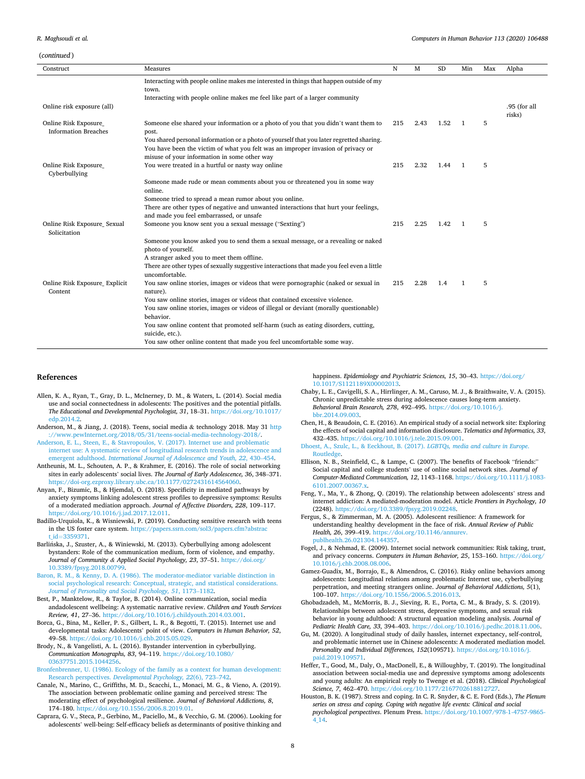<span id="page-7-0"></span>(*continued* )

| , continueu r                                       |                                                                                                    |     |      |           |                |     |              |
|-----------------------------------------------------|----------------------------------------------------------------------------------------------------|-----|------|-----------|----------------|-----|--------------|
| Construct                                           | Measures                                                                                           | N   | M    | <b>SD</b> | Min            | Max | Alpha        |
|                                                     | Interacting with people online makes me interested in things that happen outside of my<br>town.    |     |      |           |                |     |              |
|                                                     | Interacting with people online makes me feel like part of a larger community                       |     |      |           |                |     |              |
| Online risk exposure (all)                          |                                                                                                    |     |      |           |                |     | .95 (for all |
|                                                     |                                                                                                    |     |      |           |                |     | risks)       |
| Online Risk Exposure<br><b>Information Breaches</b> | Someone else shared your information or a photo of you that you didn't want them to<br>post.       | 215 | 2.43 | 1.52      | $\overline{1}$ | 5   |              |
|                                                     | You shared personal information or a photo of yourself that you later regretted sharing.           |     |      |           |                |     |              |
|                                                     | You have been the victim of what you felt was an improper invasion of privacy or                   |     |      |           |                |     |              |
|                                                     | misuse of your information in some other way                                                       |     |      |           |                |     |              |
| Online Risk Exposure<br>Cyberbullying               | You were treated in a hurtful or nasty way online                                                  | 215 | 2.32 | 1.44      | -1             | 5   |              |
|                                                     | Someone made rude or mean comments about you or threatened you in some way<br>online.              |     |      |           |                |     |              |
|                                                     | Someone tried to spread a mean rumor about you online.                                             |     |      |           |                |     |              |
|                                                     | There are other types of negative and unwanted interactions that hurt your feelings,               |     |      |           |                |     |              |
|                                                     | and made you feel embarrassed, or unsafe                                                           |     |      |           |                |     |              |
| Online Risk Exposure_Sexual<br>Solicitation         | Someone you know sent you a sexual message ("Sexting")                                             | 215 | 2.25 | 1.42      | $\overline{1}$ | 5   |              |
|                                                     | Someone you know asked you to send them a sexual message, or a revealing or naked                  |     |      |           |                |     |              |
|                                                     | photo of yourself.                                                                                 |     |      |           |                |     |              |
|                                                     | A stranger asked you to meet them offline.                                                         |     |      |           |                |     |              |
|                                                     | There are other types of sexually suggestive interactions that made you feel even a little         |     |      |           |                |     |              |
|                                                     | uncomfortable.                                                                                     |     |      |           |                |     |              |
| Online Risk Exposure_Explicit                       | You saw online stories, images or videos that were pornographic (naked or sexual in                | 215 | 2.28 | 1.4       | $\mathbf{1}$   | 5   |              |
| Content                                             | nature).                                                                                           |     |      |           |                |     |              |
|                                                     | You saw online stories, images or videos that contained excessive violence.                        |     |      |           |                |     |              |
|                                                     | You saw online stories, images or videos of illegal or deviant (morally questionable)<br>behavior. |     |      |           |                |     |              |
|                                                     | You saw online content that promoted self-harm (such as eating disorders, cutting,                 |     |      |           |                |     |              |
|                                                     | suicide, etc.).                                                                                    |     |      |           |                |     |              |
|                                                     | You saw other online content that made you feel uncomfortable some way.                            |     |      |           |                |     |              |

#### **References**

- Allen, K. A., Ryan, T., Gray, D. L., McInerney, D. M., & Waters, L. (2014). Social media use and social connectedness in adolescents: The positives and the potential pitfalls. *The Educational and Developmental Psychologist, 31*, 18–31. [https://doi.org/10.1017/](https://doi.org/10.1017/edp.2014.2)  [edp.2014.2](https://doi.org/10.1017/edp.2014.2).
- Anderson, M., & Jiang, J. (2018). Teens, social media & technology 2018. May 31 [http](http://www.pewInternet.org/2018/05/31/teens-social-media-technology-2018/)  [://www.pewInternet.org/2018/05/31/teens-social-media-technology-2018/](http://www.pewInternet.org/2018/05/31/teens-social-media-technology-2018/).
- [Anderson, E. L., Steen, E., & Stavropoulos, V. \(2017\). Internet use and problematic](http://refhub.elsevier.com/S0747-5632(20)30240-5/sref3) [internet use: A systematic review of longitudinal research trends in adolescence and](http://refhub.elsevier.com/S0747-5632(20)30240-5/sref3)  emergent adulthood. *[International Journal of Adolescence and Youth, 22](http://refhub.elsevier.com/S0747-5632(20)30240-5/sref3)*, 430–454.
- Antheunis, M. L., Schouten, A. P., & Krahmer, E. (2016). The role of social networking sites in early adolescents' social lives. *The Journal of Early Adolescence, 36*, 348–371. [https://doi-org.ezproxy.library.ubc.ca/10.1177/0272431614564060.](https://doi-org.ezproxy.library.ubc.ca/10.1177/0272431614564060)
- Anyan, F., Bizumic, B., & Hjemdal, O. (2018). Specificity in mediated pathways by anxiety symptoms linking adolescent stress profiles to depressive symptoms: Results of a moderated mediation approach. *Journal of Affective Disorders, 228*, 109–117. <https://doi.org/10.1016/j.jad.2017.12.011>.
- Badillo-Urquiola, K., & Wisniewski, P. (2019). Conducting sensitive research with teens in the US foster care system. https://papers.ssrn.com/sol3/papers.cfm?abstr id=[3359371](https://papers.ssrn.com/sol3/papers.cfm?abstract_id=3359371).
- Barlińska, J., Szuster, A., & Winiewski, M. (2013). Cyberbullying among adolescent bystanders: Role of the communication medium, form of violence, and empathy. Journal of Community & Applied Social Psychology, 23, 37-51. https://doi.o [10.3389/fpsyg.2018.00799.](https://doi.org/10.3389/fpsyg.2018.00799)
- [Baron, R. M., & Kenny, D. A. \(1986\). The moderator-mediator variable distinction in](http://refhub.elsevier.com/S0747-5632(20)30240-5/sref8)  [social psychological research: Conceptual, strategic, and statistical considerations.](http://refhub.elsevier.com/S0747-5632(20)30240-5/sref8) *[Journal of Personality and Social Psychology, 51](http://refhub.elsevier.com/S0747-5632(20)30240-5/sref8)*, 1173–1182.
- Best, P., Manktelow, R., & Taylor, B. (2014). Online communication, social media andadolescent wellbeing: A systematic narrative review. *Children and Youth Services Review, 41*, 27–36. <https://doi.org/10.1016/j.childyouth.2014.03.001>.
- Borca, G., Bina, M., Keller, P. S., Gilbert, L. R., & Begotti, T. (2015). Internet use and developmental tasks: Adolescents' point of view. *Computers in Human Behavior, 52*, 49–58. <https://doi.org/10.1016/j.chb.2015.05.029>.
- Brody, N., & Vangelisti, A. L. (2016). Bystander intervention in cyberbullying. *Communication Monographs, 83*, 94–119. [https://doi.org/10.1080/](https://doi.org/10.1080/03637751.2015.1044256) [03637751.2015.1044256](https://doi.org/10.1080/03637751.2015.1044256).
- [Bronfenbrenner, U. \(1986\). Ecology of the family as a context for human development:](http://refhub.elsevier.com/S0747-5632(20)30240-5/sref12)  Research perspectives. *[Developmental Psychology, 22](http://refhub.elsevier.com/S0747-5632(20)30240-5/sref12)*(6), 723–742.
- Canale, N., Marino, C., Griffiths, M. D., Scacchi, L., Monaci, M. G., & Vieno, A. (2019). The association between problematic online gaming and perceived stress: The moderating effect of psychological resilience. *Journal of Behavioral Addictions, 8*, 174–180. [https://doi.org/10.1556/2006.8.2019.01.](https://doi.org/10.1556/2006.8.2019.01)
- Caprara, G. V., Steca, P., Gerbino, M., Paciello, M., & Vecchio, G. M. (2006). Looking for adolescents' well-being: Self-efficacy beliefs as determinants of positive thinking and

happiness. *Epidemiology and Psychiatric Sciences, 15*, 30–43. [https://doi.org/](https://doi.org/10.1017/S1121189X00002013)  [10.1017/S1121189X00002013](https://doi.org/10.1017/S1121189X00002013).

- Chaby, L. E., Cavigelli, S. A., Hirrlinger, A. M., Caruso, M. J., & Braithwaite, V. A. (2015). Chronic unpredictable stress during adolescence causes long-term anxiety. *Behavioral Brain Research, 278*, 492–495. [https://doi.org/10.1016/j.](https://doi.org/10.1016/j.bbr.2014.09.003) bbr.2014.09.003
- Chen, H., & Beaudoin, C. E. (2016). An empirical study of a social network site: Exploring the effects of social capital and information disclosure. *Telematics and Informatics, 33*, 432–435. [https://doi.org/10.1016/j.tele.2015.09.001.](https://doi.org/10.1016/j.tele.2015.09.001)
- [Dhoest, A., Szulc, L., & Eeckhout, B. \(2017\).](http://refhub.elsevier.com/S0747-5632(20)30240-5/sref17) *LGBTQs, media and culture in Europe*. [Routledge](http://refhub.elsevier.com/S0747-5632(20)30240-5/sref17).
- Ellison, N. B., Steinfield, C., & Lampe, C. (2007). The benefits of Facebook "friends:" Social capital and college students' use of online social network sites. *Journal of Computer-Mediated Communication, 12*, 1143–1168. [https://doi.org/10.1111/j.1083-](https://doi.org/10.1111/j.1083-6101.2007.00367.x)  [6101.2007.00367.x.](https://doi.org/10.1111/j.1083-6101.2007.00367.x)
- Feng, Y., Ma, Y., & Zhong, Q. (2019). The relationship between adolescents' stress and internet addiction: A mediated-moderation model. Article *Frontiers in Psychology, 10*  (2248). <https://doi.org/10.3389/fpsyg.2019.02248>.
- Fergus, S., & Zimmerman, M. A. (2005). Adolescent resilience: A framework for understanding healthy development in the face of risk. *Annual Review of Public Health, 26*, 399–419. [https://doi.org/10.1146/annurev.](https://doi.org/10.1146/annurev.publhealth.26.021304.144357) [publhealth.26.021304.144357.](https://doi.org/10.1146/annurev.publhealth.26.021304.144357)
- Fogel, J., & Nehmad, E. (2009). Internet social network communities: Risk taking, trust, and privacy concerns. *Computers in Human Behavior, 25*, 153–160. [https://doi.org/](https://doi.org/10.1016/j.chb.2008.08.006)  [10.1016/j.chb.2008.08.006](https://doi.org/10.1016/j.chb.2008.08.006).
- Gamez-Guadix, M., Borrajo, E., & Almendros, C. (2016). Risky online behaviors among adolescents: Longitudinal relations among problematic Internet use, cyberbullying perpetration, and meeting strangers online. *Journal of Behavioral Addictions, 5*(1), 100–107. <https://doi.org/10.1556/2006.5.2016.013>.
- Ghobadzadeh, M., McMorris, B. J., Sieving, R. E., Porta, C. M., & Brady, S. S. (2019). Relationships between adolescent stress, depressive symptoms, and sexual risk behavior in young adulthood: A structural equation modeling analysis. *Journal of Pediatric Health Care, 33*, 394–403. <https://doi.org/10.1016/j.pedhc.2018.11.006>.
- Gu, M. (2020). A longitudinal study of daily hassles, internet expectancy, self-control, and problematic internet use in Chinese adolescents: A moderated mediation model. *Personality and Individual Differences, 152*(109571). [https://doi.org/10.1016/j.](https://doi.org/10.1016/j.paid.2019.109571)  [paid.2019.109571](https://doi.org/10.1016/j.paid.2019.109571).
- Heffer, T., Good, M., Daly, O., MacDonell, E., & Willoughby, T. (2019). The longitudinal association between social-media use and depressive symptoms among adolescents and young adults: An empirical reply to Twenge et al. (2018). *Clinical Psychological Science, 7*, 462–470. <https://doi.org/10.1177/2167702618812727>.
- Houston, B. K. (1987). Stress and coping. In C. R. Snyder, & C. E. Ford (Eds.), *The Plenum series on stress and coping. Coping with negative life events: Clinical and social psychological perspectives*. Plenum Press. [https://doi.org/10.1007/978-1-4757-9865-](https://doi.org/10.1007/978-1-4757-9865-4_14)  [4\\_14](https://doi.org/10.1007/978-1-4757-9865-4_14).